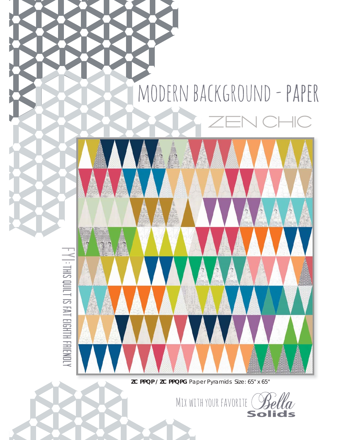## MODERN BACKGROUND - PAPER

 $\parallel$ 

 $\mathbb{Z}$ 



**ZC PPQP / ZC PPQPG** Paper Pyramids Size: 65" x 65"

Mix with your favorite

Solids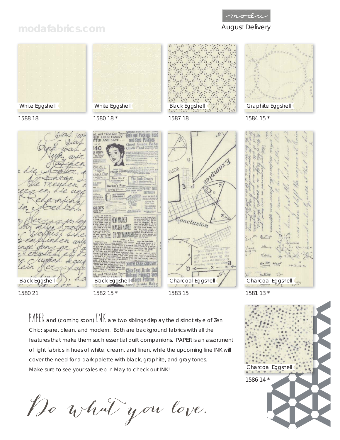## moda

## modafabrics.com **August Delivery**



PAPER and (coming soon) INK are two siblings display the distinct style of Zen Chic: spare, clean, and modern. Both are background fabrics with all the features that make them such essential quilt companions. PAPER is an assortment of light fabrics in hues of white, cream, and linen, while the upcoming line INK will cover the need for a dark palette with black, graphite, and gray tones. Make sure to see your sales rep in May to check out INK!

Do what you love.

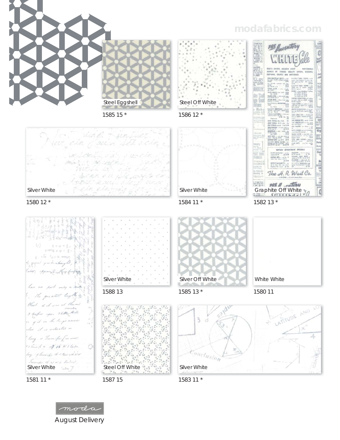1585 15 \*

Steel Eggshell



1580 12 \*



1581 11 \*

1587 15

August Delivery

moda

1583 11 \*